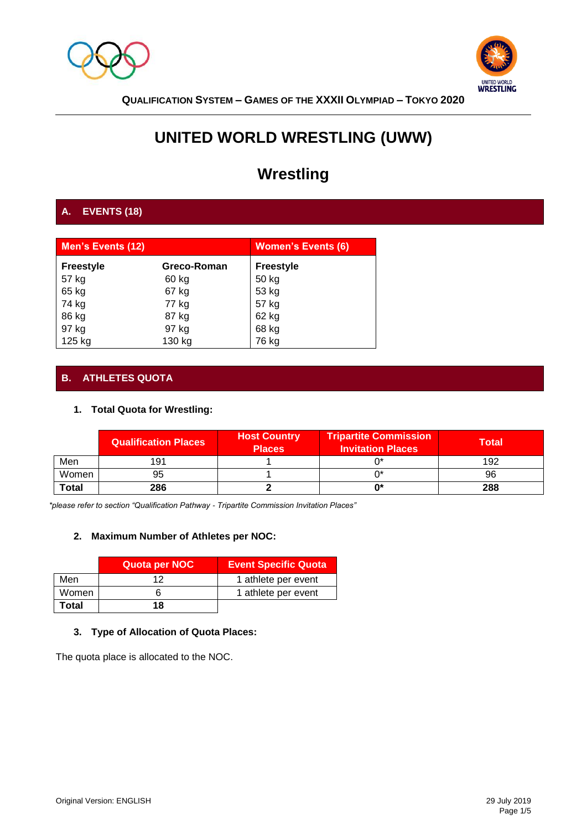



# **UNITED WORLD WRESTLING (UWW)**

# **Wrestling**

# **A. EVENTS (18)**

| <b>Men's Events (12)</b> |             | <b>Women's Events (6)</b> |
|--------------------------|-------------|---------------------------|
| <b>Freestyle</b>         | Greco-Roman | <b>Freestyle</b>          |
| 57 kg                    | 60 kg       | 50 kg                     |
| 65 kg                    | 67 kg       | 53 kg                     |
| 74 kg                    | 77 kg       | 57 kg                     |
| 86 kg                    | 87 kg       | 62 kg                     |
| 97 kg                    | 97 kg       | 68 kg                     |
| 125 kg                   | 130 kg      | 76 kg                     |

# **B. ATHLETES QUOTA**

# **1. Total Quota for Wrestling:**

|              | <b>Qualification Places</b> | <b>Host Country</b><br><b>Places</b> | <b>Tripartite Commission</b><br><b>Invitation Places</b> | Total |
|--------------|-----------------------------|--------------------------------------|----------------------------------------------------------|-------|
| Men          | 191                         |                                      |                                                          | 192   |
| Women        | 95                          |                                      |                                                          | 96    |
| <b>Total</b> | 286                         |                                      | n∗                                                       | 288   |

*\*please refer to section "Qualification Pathway - Tripartite Commission Invitation Places"* 

# **2. Maximum Number of Athletes per NOC:**

|       | Quota per NOC | <b>Event Specific Quota</b> |
|-------|---------------|-----------------------------|
| Men   | ィっ            | 1 athlete per event         |
| Women |               | 1 athlete per event         |
| Total | 18            |                             |

# **3. Type of Allocation of Quota Places:**

The quota place is allocated to the NOC.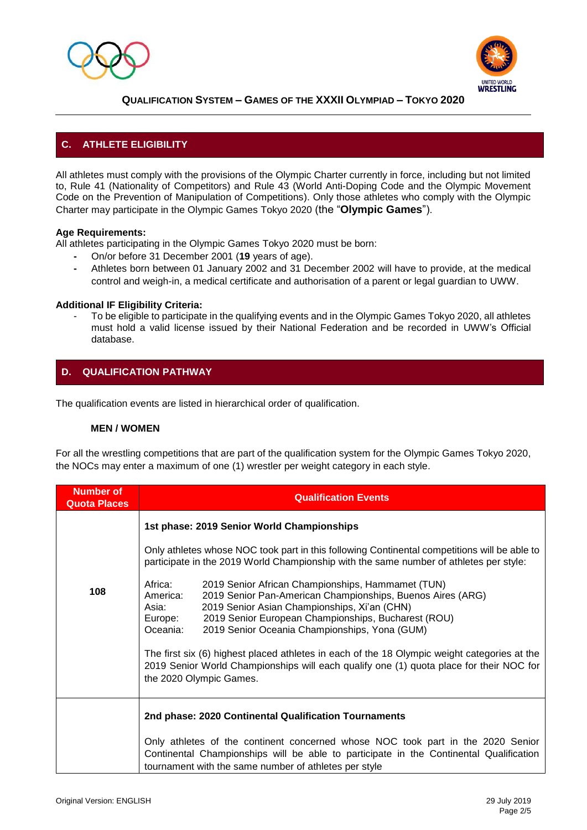



# **C. ATHLETE ELIGIBILITY**

All athletes must comply with the provisions of the Olympic Charter currently in force, including but not limited to, Rule 41 (Nationality of Competitors) and Rule 43 (World Anti-Doping Code and the Olympic Movement Code on the Prevention of Manipulation of Competitions). Only those athletes who comply with the Olympic Charter may participate in the Olympic Games Tokyo 2020 (the "**Olympic Games**").

## **Age Requirements:**

All athletes participating in the Olympic Games Tokyo 2020 must be born:

- **-** On/or before 31 December 2001 (**19** years of age).
- **-** Athletes born between 01 January 2002 and 31 December 2002 will have to provide, at the medical control and weigh-in, a medical certificate and authorisation of a parent or legal guardian to UWW.

#### **Additional IF Eligibility Criteria:**

To be eligible to participate in the qualifying events and in the Olympic Games Tokyo 2020, all athletes must hold a valid license issued by their National Federation and be recorded in UWW's Official database.

# **D. QUALIFICATION PATHWAY**

The qualification events are listed in hierarchical order of qualification.

## **MEN / WOMEN**

For all the wrestling competitions that are part of the qualification system for the Olympic Games Tokyo 2020, the NOCs may enter a maximum of one (1) wrestler per weight category in each style.

| <b>Number of</b><br><b>Quota Places</b> | <b>Qualification Events</b>                                                                                                                                                                                                                                                                                                    |  |  |
|-----------------------------------------|--------------------------------------------------------------------------------------------------------------------------------------------------------------------------------------------------------------------------------------------------------------------------------------------------------------------------------|--|--|
|                                         | 1st phase: 2019 Senior World Championships                                                                                                                                                                                                                                                                                     |  |  |
|                                         | Only athletes whose NOC took part in this following Continental competitions will be able to<br>participate in the 2019 World Championship with the same number of athletes per style:                                                                                                                                         |  |  |
| 108                                     | Africa:<br>2019 Senior African Championships, Hammamet (TUN)<br>2019 Senior Pan-American Championships, Buenos Aires (ARG)<br>America:<br>2019 Senior Asian Championships, Xi'an (CHN)<br>Asia:<br>2019 Senior European Championships, Bucharest (ROU)<br>Europe:<br>2019 Senior Oceania Championships, Yona (GUM)<br>Oceania: |  |  |
|                                         | The first six (6) highest placed athletes in each of the 18 Olympic weight categories at the<br>2019 Senior World Championships will each qualify one (1) quota place for their NOC for<br>the 2020 Olympic Games.                                                                                                             |  |  |
|                                         | 2nd phase: 2020 Continental Qualification Tournaments                                                                                                                                                                                                                                                                          |  |  |
|                                         | Only athletes of the continent concerned whose NOC took part in the 2020 Senior<br>Continental Championships will be able to participate in the Continental Qualification<br>tournament with the same number of athletes per style                                                                                             |  |  |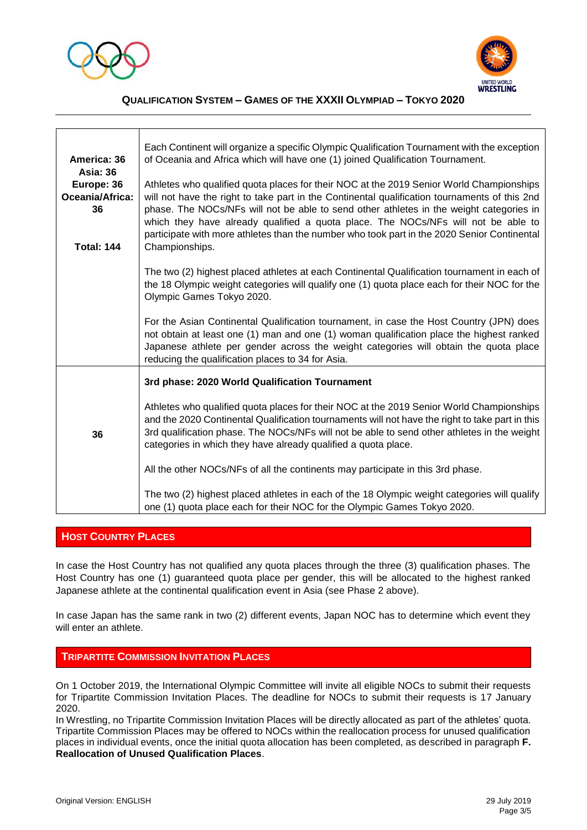



| America: 36<br><b>Asia: 36</b><br>Europe: 36<br>Oceania/Africa:<br>36<br><b>Total: 144</b> | Each Continent will organize a specific Olympic Qualification Tournament with the exception<br>of Oceania and Africa which will have one (1) joined Qualification Tournament.<br>Athletes who qualified quota places for their NOC at the 2019 Senior World Championships<br>will not have the right to take part in the Continental qualification tournaments of this 2nd<br>phase. The NOCs/NFs will not be able to send other athletes in the weight categories in<br>which they have already qualified a quota place. The NOCs/NFs will not be able to<br>participate with more athletes than the number who took part in the 2020 Senior Continental<br>Championships.   |
|--------------------------------------------------------------------------------------------|-------------------------------------------------------------------------------------------------------------------------------------------------------------------------------------------------------------------------------------------------------------------------------------------------------------------------------------------------------------------------------------------------------------------------------------------------------------------------------------------------------------------------------------------------------------------------------------------------------------------------------------------------------------------------------|
|                                                                                            | The two (2) highest placed athletes at each Continental Qualification tournament in each of<br>the 18 Olympic weight categories will qualify one (1) quota place each for their NOC for the<br>Olympic Games Tokyo 2020.<br>For the Asian Continental Qualification tournament, in case the Host Country (JPN) does                                                                                                                                                                                                                                                                                                                                                           |
|                                                                                            | not obtain at least one (1) man and one (1) woman qualification place the highest ranked<br>Japanese athlete per gender across the weight categories will obtain the quota place<br>reducing the qualification places to 34 for Asia.                                                                                                                                                                                                                                                                                                                                                                                                                                         |
| 36                                                                                         | 3rd phase: 2020 World Qualification Tournament<br>Athletes who qualified quota places for their NOC at the 2019 Senior World Championships<br>and the 2020 Continental Qualification tournaments will not have the right to take part in this<br>3rd qualification phase. The NOCs/NFs will not be able to send other athletes in the weight<br>categories in which they have already qualified a quota place.<br>All the other NOCs/NFs of all the continents may participate in this 3rd phase.<br>The two (2) highest placed athletes in each of the 18 Olympic weight categories will qualify<br>one (1) quota place each for their NOC for the Olympic Games Tokyo 2020. |

# **HOST COUNTRY PLACES**

In case the Host Country has not qualified any quota places through the three (3) qualification phases. The Host Country has one (1) guaranteed quota place per gender, this will be allocated to the highest ranked Japanese athlete at the continental qualification event in Asia (see Phase 2 above).

In case Japan has the same rank in two (2) different events, Japan NOC has to determine which event they will enter an athlete.

## **TRIPARTITE COMMISSION INVITATION PLACES**

On 1 October 2019, the International Olympic Committee will invite all eligible NOCs to submit their requests for Tripartite Commission Invitation Places. The deadline for NOCs to submit their requests is 17 January 2020.

In Wrestling, no Tripartite Commission Invitation Places will be directly allocated as part of the athletes' quota. Tripartite Commission Places may be offered to NOCs within the reallocation process for unused qualification places in individual events, once the initial quota allocation has been completed, as described in paragraph **F. Reallocation of Unused Qualification Places**.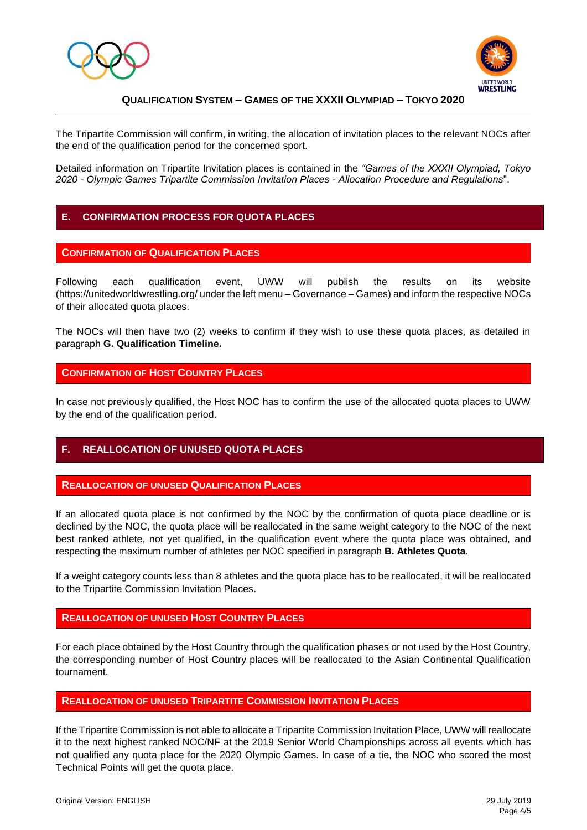



The Tripartite Commission will confirm, in writing, the allocation of invitation places to the relevant NOCs after the end of the qualification period for the concerned sport.

Detailed information on Tripartite Invitation places is contained in the *"Games of the XXXII Olympiad, Tokyo 2020 - Olympic Games Tripartite Commission Invitation Places - Allocation Procedure and Regulations*".

# **E. CONFIRMATION PROCESS FOR QUOTA PLACES**

#### **CONFIRMATION OF QUALIFICATION PLACES**

Following each qualification event, UWW will publish the results on its website [\(https://unitedworldwrestling.org/](https://unitedworldwrestling.org/) under the left menu – Governance – Games) and inform the respective NOCs of their allocated quota places.

The NOCs will then have two (2) weeks to confirm if they wish to use these quota places, as detailed in paragraph **G. Qualification Timeline.**

#### **CONFIRMATION OF HOST COUNTRY PLACES**

In case not previously qualified, the Host NOC has to confirm the use of the allocated quota places to UWW by the end of the qualification period.

## **F. REALLOCATION OF UNUSED QUOTA PLACES**

#### **REALLOCATION OF UNUSED QUALIFICATION PLACES**

If an allocated quota place is not confirmed by the NOC by the confirmation of quota place deadline or is declined by the NOC, the quota place will be reallocated in the same weight category to the NOC of the next best ranked athlete, not yet qualified, in the qualification event where the quota place was obtained, and respecting the maximum number of athletes per NOC specified in paragraph **B. Athletes Quota**.

If a weight category counts less than 8 athletes and the quota place has to be reallocated, it will be reallocated to the Tripartite Commission Invitation Places.

## **REALLOCATION OF UNUSED HOST COUNTRY PLACES**

For each place obtained by the Host Country through the qualification phases or not used by the Host Country, the corresponding number of Host Country places will be reallocated to the Asian Continental Qualification tournament.

## **REALLOCATION OF UNUSED TRIPARTITE COMMISSION INVITATION PLACES**

If the Tripartite Commission is not able to allocate a Tripartite Commission Invitation Place, UWW will reallocate it to the next highest ranked NOC/NF at the 2019 Senior World Championships across all events which has not qualified any quota place for the 2020 Olympic Games. In case of a tie, the NOC who scored the most Technical Points will get the quota place.